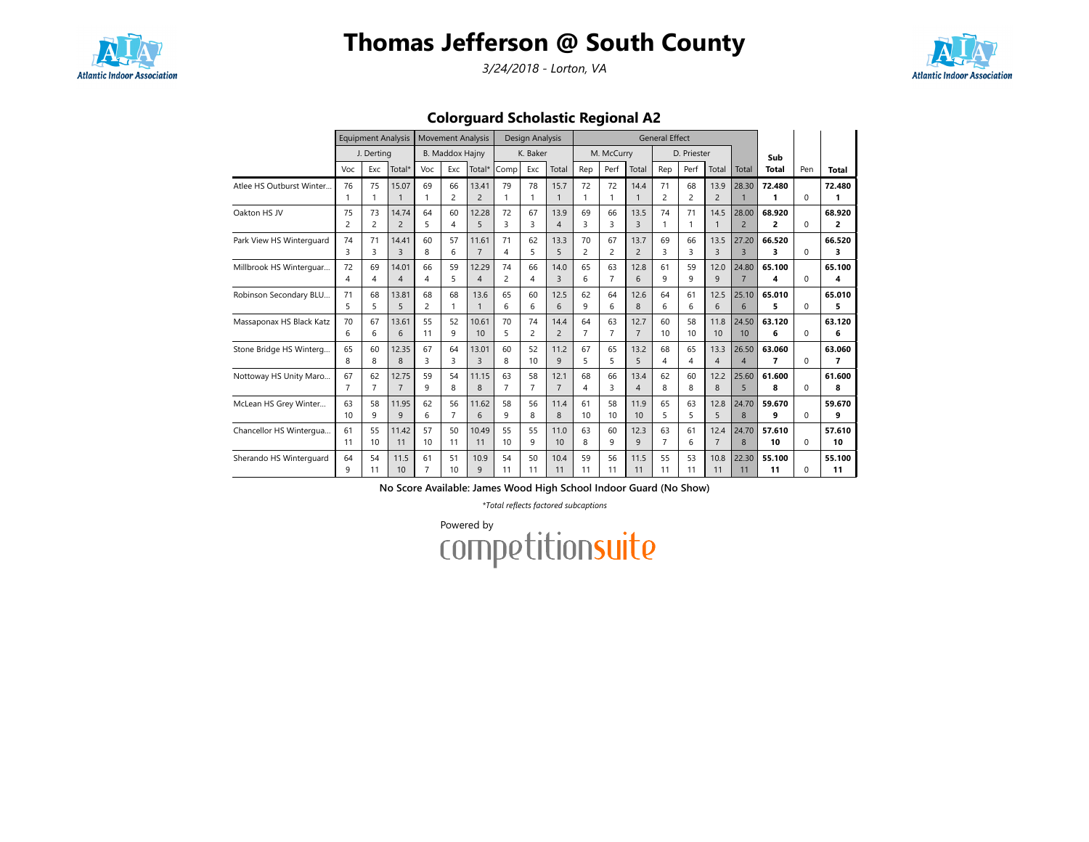

3/24/2018 - Lorton, VA



Colorguard Scholastic Regional A2

|                          |                      | <b>Equipment Analysis</b> |                         |                      | <b>Movement Analysis</b> |                         |                      | Design Analysis      |                        |                      |                      |                        | <b>General Effect</b> |                      |                        |                         |                          |          |              |
|--------------------------|----------------------|---------------------------|-------------------------|----------------------|--------------------------|-------------------------|----------------------|----------------------|------------------------|----------------------|----------------------|------------------------|-----------------------|----------------------|------------------------|-------------------------|--------------------------|----------|--------------|
|                          |                      | J. Derting                |                         |                      | <b>B. Maddox Hajny</b>   |                         |                      | K. Baker             |                        |                      | M. McCurry           |                        |                       | D. Priester          |                        |                         | Sub                      |          |              |
|                          | Voc                  | Exc                       | Total*                  | Voc                  | Exc                      | Total*                  | Comp                 | Exc                  | Total                  | Rep                  | Perf                 | Total                  | Rep                   | Perf                 | Total                  | Total                   | <b>Total</b>             | Pen      | <b>Total</b> |
| Atlee HS Outburst Winter | 76                   | 75<br>1                   | 15.07                   | 69                   | 66<br>$\overline{c}$     | 13.41<br>$\overline{2}$ | 79<br>1              | 78<br>1              | 15.7<br>$\mathbf{1}$   | 72<br>$\mathbf{1}$   | 72                   | 14.4                   | 71<br>2               | 68<br>$\overline{c}$ | 13.9<br>$\overline{2}$ | 28.30                   | 72.480<br>1              | $\Omega$ | 72.480<br>1  |
| Oakton HS JV             | 75<br>2              | 73<br>$\overline{c}$      | 14.74<br>$\overline{2}$ | 64<br>5              | 60<br>4                  | 12.28<br>5              | 72<br>3              | 67<br>3              | 13.9<br>$\overline{4}$ | 69<br>3              | 66<br>3              | 13.5<br>$\overline{3}$ | 74                    | 71<br>1              | 14.5<br>$\mathbf{1}$   | 28.00<br>$\overline{2}$ | 68.920<br>$\overline{2}$ | $\Omega$ | 68.920<br>2  |
| Park View HS Winterguard | 74<br>3              | 71<br>3                   | 14.41<br>$\overline{3}$ | 60<br>8              | 57<br>6                  | 11.61<br>$\overline{7}$ | 71<br>4              | 62<br>5              | 13.3<br>5              | 70<br>$\overline{c}$ | 67<br>$\overline{c}$ | 13.7<br>$\overline{2}$ | 69<br>3               | 66<br>3              | 13.5<br>$\overline{3}$ | 27.20<br>$\overline{3}$ | 66.520<br>3              | $\Omega$ | 66.520<br>3  |
| Millbrook HS Winterguar  | 72<br>4              | 69<br>4                   | 14.01<br>$\overline{4}$ | 66<br>4              | 59<br>5                  | 12.29<br>$\overline{4}$ | 74<br>$\overline{2}$ | 66<br>4              | 14.0<br>$\overline{3}$ | 65<br>6              | 63<br>7              | 12.8<br>6              | 61<br>9               | 59<br>9              | 12.0<br>9              | 24.80<br>$\overline{7}$ | 65.100<br>4              | $\Omega$ | 65.100<br>4  |
| Robinson Secondary BLU   | 71<br>5              | 68<br>5                   | 13.81<br>5              | 68<br>$\overline{c}$ | 68<br>$\mathbf{1}$       | 13.6                    | 65<br>6              | 60<br>6              | 12.5<br>6              | 62<br>9              | 64<br>6              | 12.6<br>8              | 64<br>6               | 61<br>6              | 12.5<br>6              | 25.10<br>6              | 65.010<br>5              | $\Omega$ | 65.010<br>5  |
| Massaponax HS Black Katz | 70<br>6              | 67<br>6                   | 13.61<br>6              | 55<br>11             | 52<br>9                  | 10.61<br>10             | 70<br>5              | 74<br>$\overline{c}$ | 14.4<br>$\overline{c}$ | 64<br>$\overline{7}$ | 63<br>$\overline{7}$ | 12.7<br>$\overline{7}$ | 60<br>10              | 58<br>10             | 11.8<br>10             | 24.50<br>10             | 63.120<br>6              | $\Omega$ | 63.120<br>6  |
| Stone Bridge HS Winterg  | 65<br>8              | 60<br>8                   | 12.35<br>8              | 67<br>3              | 64<br>3                  | 13.01<br>$\overline{3}$ | 60<br>8              | 52<br>10             | 11.2<br>9              | 67<br>5              | 65<br>5              | 13.2<br>5              | 68<br>4               | 65<br>4              | 13.3<br>$\overline{4}$ | 26.50<br>$\overline{4}$ | 63.060<br>$\overline{7}$ | $\Omega$ | 63.060<br>7  |
| Nottoway HS Unity Maro   | 67<br>$\overline{7}$ | 62<br>$\overline{7}$      | 12.75<br>$\overline{7}$ | 59<br>9              | 54<br>8                  | 11.15<br>8              | 63<br>$\overline{7}$ | 58<br>$\overline{7}$ | 12.1<br>$\overline{7}$ | 68<br>4              | 66<br>3              | 13.4<br>$\overline{A}$ | 62<br>8               | 60<br>8              | 12.2<br>8              | 25.60<br>5              | 61.600<br>8              | 0        | 61.600<br>8  |
| McLean HS Grey Winter    | 63<br>10             | 58<br>9                   | 11.95<br>9              | 62<br>6              | 56<br>7                  | 11.62<br>6              | 58<br>9              | 56<br>8              | 11.4<br>8              | 61<br>10             | 58<br>10             | 11.9<br>10             | 65<br>5               | 63<br>5              | 12.8<br>5              | 24.70<br>8              | 59.670<br>9              | 0        | 59.670<br>٩  |
| Chancellor HS Wintergua  | 61<br>11             | 55<br>10                  | 11.42<br>11             | 57<br>10             | 50<br>11                 | 10.49<br>11             | 55<br>10             | 55<br>9              | 11.0<br>10             | 63<br>8              | 60<br>9              | 12.3<br>$\mathsf{q}$   | 63<br>$\overline{7}$  | 61<br>6              | 12.4<br>$\overline{7}$ | 24.70<br>8              | 57.610<br>10             | $\Omega$ | 57.610<br>10 |
| Sherando HS Winterguard  | 64<br>q              | 54<br>11                  | 11.5<br>10              | 61<br>$\overline{7}$ | 51<br>10                 | 10.9<br>$\mathsf{q}$    | 54<br>11             | 50<br>11             | 10.4<br>11             | 59<br>11             | 56<br>11             | 11.5<br>11             | 55<br>11              | 53<br>11             | 10.8<br>11             | 22.30<br>11             | 55.100<br>11             | $\Omega$ | 55.100<br>11 |

No Score Available: James Wood High School Indoor Guard (No Show)

\*Total reflects factored subcaptions

Powered by<br>COMPetitionsuite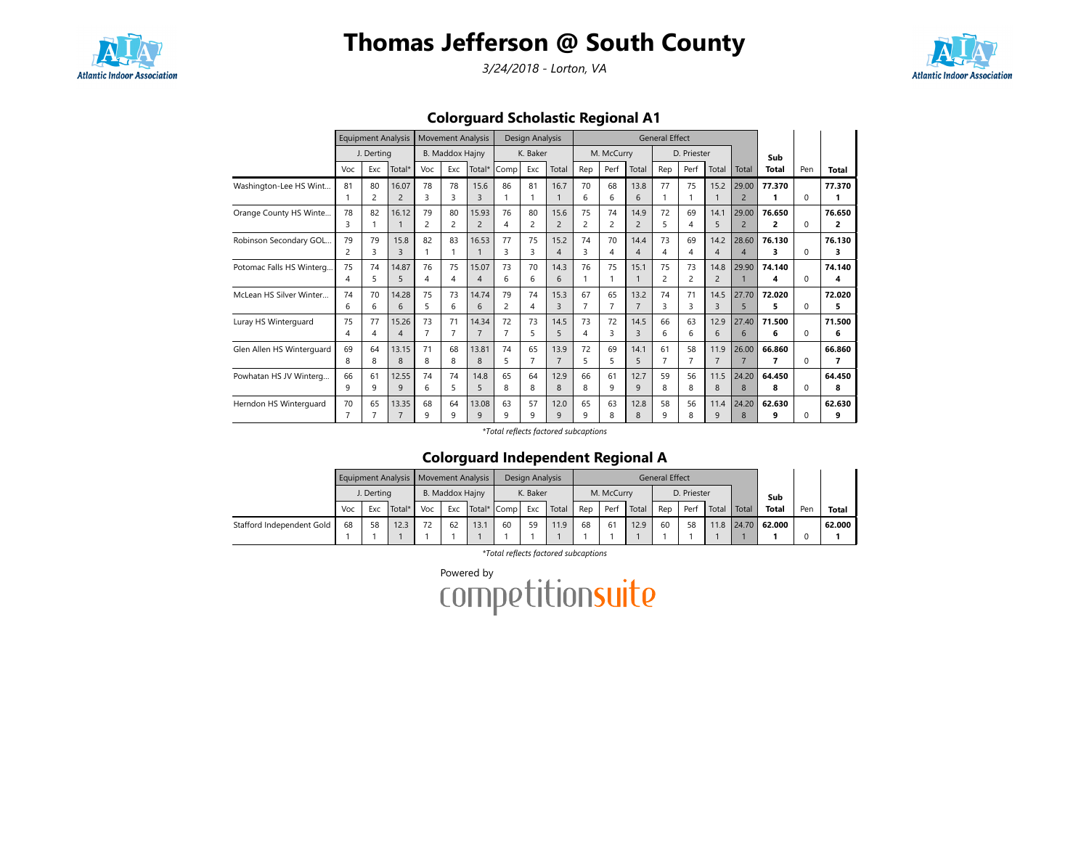

3/24/2018 - Lorton, VA



Colorguard Scholastic Regional A1

|                           |                |                | <b>Equipment Analysis</b> |                | <b>Movement Analysis</b> |                |                | Design Analysis |                |                |                |                          | <b>General Effect</b> |             |                |                          |        |              |        |
|---------------------------|----------------|----------------|---------------------------|----------------|--------------------------|----------------|----------------|-----------------|----------------|----------------|----------------|--------------------------|-----------------------|-------------|----------------|--------------------------|--------|--------------|--------|
|                           |                | J. Dertina     |                           |                | <b>B. Maddox Hajny</b>   |                |                | K. Baker        |                |                | M. McCurry     |                          |                       | D. Priester |                |                          | Sub    |              |        |
|                           | Voc            | Exc            | Total*                    | Voc            | Exc                      | Total*         | Comp           | Exc             | Total          | Rep            | Perf           | Total                    | Rep                   | Perf        | Total          | Total                    | Total  | Pen          | Total  |
| Washington-Lee HS Wint    | 81             | 80             | 16.07                     | 78             | 78                       | 15.6           | 86             | 81              | 16.7           | 70             | 68             | 13.8                     | 77                    | 75          | 15.2           | 29.00                    | 77.370 |              | 77.370 |
|                           | 1              | $\overline{c}$ | $\overline{2}$            | 3              | 3                        |                |                | 1               |                | 6              | 6              | 6                        |                       | 1           |                | $\overline{2}$           | 1      | $\Omega$     | 1      |
| Orange County HS Winte    | 78             | 82             | 16.12                     | 79             | 80                       | 15.93          | 76             | 80              | 15.6           | 75             | 74             | 14.9                     | 72                    | 69          | 14.1           | 29.00                    | 76.650 |              | 76.650 |
|                           | 3              |                |                           | $\overline{c}$ | $\overline{c}$           | $\overline{2}$ | 4              | 2               | $\overline{2}$ | $\overline{2}$ | $\overline{c}$ | $\overline{c}$           | 5                     | 4           | 5              | $\overline{2}$           | 2      | $\Omega$     | 2      |
| Robinson Secondary GOL    | 79             | 79             | 15.8                      | 82             | 83                       | 16.53          | 77             | 75              | 15.2           | 74             | 70             | 14.4                     | 73                    | 69          | 14.2           | 28.60                    | 76.130 |              | 76.130 |
|                           | $\overline{c}$ | 3              | 3                         |                | -1                       |                | ₹              | 3               | 4              | 3              | 4              | $\boldsymbol{\varDelta}$ | 4                     | 4           | $\overline{4}$ | $\boldsymbol{\varDelta}$ | 3      | 0            | 3      |
| Potomac Falls HS Winterg  | 75             | 74             | 14.87                     | 76             | 75                       | 15.07          | 73             | 70              | 14.3           | 76             | 75             | 15.1                     | 75                    | 73          | 14.8           | 29.90                    | 74.140 |              | 74.140 |
|                           | 4              | 5              | 5                         | 4              | 4                        | 4              | 6              | 6               | 6              | 1              |                |                          | 2                     | 2           | $\overline{2}$ |                          | 4      | 0            | 4      |
| McLean HS Silver Winter   | 74             | 70             | 14.28                     | 75             | 73                       | 14.74          | 79             | 74              | 15.3           | 67             | 65             | 13.2                     | 74                    | 71          | 14.5           | 27.70                    | 72.020 |              | 72.020 |
|                           | 6              | 6              | 6                         | 5              | 6                        | 6              | $\overline{c}$ | 4               | 3              | $\overline{7}$ | $\overline{7}$ | $\overline{7}$           | 3                     | 3           | $\overline{3}$ | 5                        | 5      | $\Omega$     | 5      |
| Luray HS Winterguard      | 75             | 77             | 15.26                     | 73             | 71                       | 14.34          | 72             | 73              | 14.5           | 73             | 72             | 14.5                     | 66                    | 63          | 12.9           | 27.40                    | 71.500 |              | 71.500 |
|                           | 4              | 4              | $\overline{4}$            | $\overline{7}$ | $\overline{7}$           |                |                | 5               | 5              | 4              | 3              | $\overline{3}$           | 6                     | 6           | 6              | 6                        | 6      | $\Omega$     | 6      |
| Glen Allen HS Winterguard | 69             | 64             | 13.15                     | 71             | 68                       | 13.81          | 74             | 65              | 13.9           | 72             | 69             | 14.1                     | 61                    | 58          | 11.9           | 26.00                    | 66.860 |              | 66.860 |
|                           | 8              | 8              | 8                         | 8              | 8                        | 8              | 5              | 7               | $\overline{7}$ | 5              | 5              | 5                        | $\overline{7}$        | 7           | $\overline{7}$ |                          | 7      | <sup>0</sup> | 7      |
| Powhatan HS JV Winterg    | 66             | 61             | 12.55                     | 74             | 74                       | 14.8           | 65             | 64              | 12.9           | 66             | 61             | 12.7                     | 59                    | 56          | 11.5           | 24.20                    | 64.450 |              | 64.450 |
|                           | 9              | 9              | 9                         | 6              | 5                        | 5              | 8              | 8               | 8              | 8              | 9              | $\mathsf{q}$             | 8                     | 8           | 8              | 8                        | 8      | $\Omega$     | 8      |
| Herndon HS Winterguard    | 70             | 65             | 13.35                     | 68             | 64                       | 13.08          | 63             | 57              | 12.0           | 65             | 63             | 12.8                     | 58                    | 56          | 11.4           | 24.20                    | 62.630 |              | 62.630 |
|                           | 7              | 7              | $\overline{7}$            | 9              | q                        | 9              | 9              | 9               | 9              | 9              | 8              | 8                        | 9                     | 8           | 9              | 8                        | 9      | <sup>0</sup> | 9      |

\*Total reflects factored subcaptions

### Colorguard Independent Regional A

|                           |     |            |        | Equipment Analysis   Movement Analysis |                 |      |             | Design Analysis |       |     |            |       | General Effect |             |       |       |              |     |        |
|---------------------------|-----|------------|--------|----------------------------------------|-----------------|------|-------------|-----------------|-------|-----|------------|-------|----------------|-------------|-------|-------|--------------|-----|--------|
|                           |     | J. Dertina |        |                                        | B. Maddox Hajny |      |             | K. Baker        |       |     | M. McCurry |       |                | D. Priester |       |       | Sub          |     |        |
|                           | Voc | Exc        | Total* | Voc                                    | Exc             |      | Total* Comp | Exc             | Total | Rep | Perf       | Total | Rep            | Perf        | Total | Total | <b>Total</b> | Pen | Total  |
| Stafford Independent Gold | 68  | 58         | 12.3   | 72                                     | 62              | 13.1 | 60          | 59              | 11.9  | 68  | 61         | 12.9  | 60             | 58          | 11.8  | 24.70 | 62.000       |     | 62.000 |
|                           |     |            |        |                                        |                 |      |             |                 |       |     |            |       |                |             |       |       |              |     |        |

\*Total reflects factored subcaptions

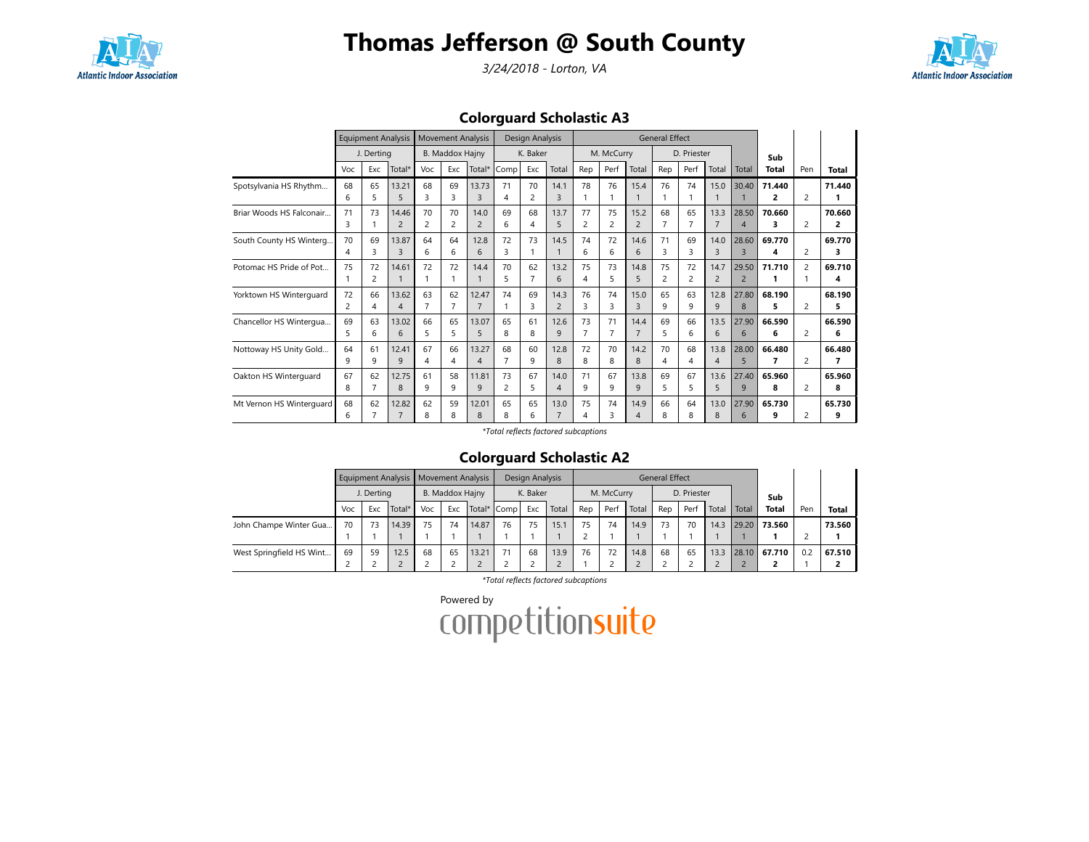

3/24/2018 - Lorton, VA



Colorguard Scholastic A3

|                          |     |                | <b>Equipment Analysis</b> |                |                        | <b>Movement Analysis</b> |      | Design Analysis |                |                |                |                | <b>General Effect</b> |             |                |                          |              |     |        |
|--------------------------|-----|----------------|---------------------------|----------------|------------------------|--------------------------|------|-----------------|----------------|----------------|----------------|----------------|-----------------------|-------------|----------------|--------------------------|--------------|-----|--------|
|                          |     | J. Dertina     |                           |                | <b>B. Maddox Hajny</b> |                          |      | K. Baker        |                |                | M. McCurry     |                |                       | D. Priester |                |                          | Sub          |     |        |
|                          | Voc | Exc            | Total*                    | Voc            | Exc                    | Total*                   | Comp | Exc             | Total          | Rep            | Perf           | Total          | Rep                   | Perf        | Total          | Total                    | <b>Total</b> | Pen | Total  |
| Spotsylvania HS Rhythm   | 68  | 65             | 13.21                     | 68             | 69                     | 13.73                    | 71   | 70              | 14.1           | 78             | 76             | 15.4           | 76                    | 74          | 15.0           | 30.40                    | 71.440       |     | 71.440 |
|                          | 6   | 5              | 5                         | 3              | 3                      | 3                        | 4    | 2               | 3              |                |                |                |                       |             | $\mathbf 1$    |                          | 2            | 2   | 1      |
| Briar Woods HS Falconair | 71  | 73             | 14.46                     | 70             | 70                     | 14.0                     | 69   | 68              | 13.7           | 77             | 75             | 15.2           | 68                    | 65          | 13.3           | 28.50                    | 70.660       |     | 70.660 |
|                          | 3   |                | $\overline{2}$            | $\overline{c}$ | $\overline{c}$         | $\overline{c}$           | 6    | 4               | 5              | $\overline{c}$ | $\overline{c}$ | $\overline{c}$ | $\overline{7}$        | 7           | $\overline{7}$ | $\boldsymbol{\varDelta}$ | 3            | 2   | 2      |
| South County HS Winterg  | 70  | 69             | 13.87                     | 64             | 64                     | 12.8                     | 72   | 73              | 14.5           | 74             | 72             | 14.6           | 71                    | 69          | 14.0           | 28.60                    | 69.770       |     | 69.770 |
|                          | 4   | 3              | 3                         | 6              | 6                      | 6                        | ₹    |                 |                | 6              | 6              | $\sqrt{2}$     | 3                     | 3           | 3              | $\mathbf{R}$             | 4            | 2   | з      |
| Potomac HS Pride of Pot  | 75  | 72             | 14.61                     | 72             | 72                     | 14.4                     | 70   | 62              | 13.2           | 75             | 73             | 14.8           | 75                    | 72          | 14.7           | 29.50                    | 71.710       | 2   | 69.710 |
|                          |     | 2              |                           | 1              |                        |                          | 5    | $\overline{7}$  | 6              | 4              | 5              | 5              | 2                     | 2           | $\overline{2}$ | $\overline{2}$           | 1            |     | 4      |
| Yorktown HS Winterguard  | 72  | 66             | 13.62                     | 63             | 62                     | 12.47                    | 74   | 69              | 14.3           | 76             | 74             | 15.0           | 65                    | 63          | 12.8           | 27.80                    | 68.190       |     | 68.190 |
|                          | 2   | 4              | $\overline{4}$            | 7              | $\overline{7}$         |                          |      | 3               | $\overline{2}$ | 3              | З              | $\overline{3}$ | 9                     | 9           | 9              | 8                        | 5            | 2   | 5      |
| Chancellor HS Wintergua  | 69  | 63             | 13.02                     | 66             | 65                     | 13.07                    | 65   | 61              | 12.6           | 73             | 71             | 14.4           | 69                    | 66          | 13.5           | 27.90                    | 66.590       |     | 66.590 |
|                          | 5   | 6              | 6                         | 5              | 5                      | 5                        | 8    | 8               | 9              | $\overline{7}$ |                | $\overline{7}$ | 5                     | 6           | 6              | 6                        | 6            | 2   | 6      |
| Nottoway HS Unity Gold   | 64  | 61             | 12.41                     | 67             | 66                     | 13.27                    | 68   | 60              | 12.8           | 72             | 70             | 14.2           | 70                    | 68          | 13.8           | 28.00                    | 66.480       |     | 66.480 |
|                          | q   | 9              | 9                         | 4              | $\overline{4}$         | 4                        | 7    | 9               | 8              | 8              | 8              | 8              | 4                     | 4           | $\overline{4}$ | 5                        | 7            | 2   | 7      |
| Oakton HS Winterguard    | 67  | 62             | 12.75                     | 61             | 58                     | 11.81                    | 73   | 67              | 14.0           | 71             | 67             | 13.8           | 69                    | 67          | 13.6           | 27.40                    | 65.960       |     | 65.960 |
|                          | 8   | $\overline{7}$ | 8                         | 9              | 9                      | 9                        | 2    | 5               | $\overline{A}$ | 9              | 9              | $\mathsf{q}$   | 5                     | 5           | 5              | 9                        | 8            | 2   | 8      |
| Mt Vernon HS Winterguard | 68  | 62             | 12.82                     | 62             | 59                     | 12.01                    | 65   | 65              | 13.0           | 75             | 74             | 14.9           | 66                    | 64          | 13.0           | 27.90                    | 65.730       |     | 65.730 |
|                          | 6   | $\overline{7}$ | $\overline{7}$            | 8              | 8                      | 8                        | 8    | 6               | $\overline{7}$ | 4              | 3              | 4              | 8                     | 8           | 8              | 6                        | 9            | 2   | 9      |

\*Total reflects factored subcaptions

### Colorguard Scholastic A2

|                          |     |            | Equipment Analysis   Movement Analysis |     |                 |          |      | Design Analysis |       |     |            |       | <b>General Effect</b> |             |       |       |              |     |              |
|--------------------------|-----|------------|----------------------------------------|-----|-----------------|----------|------|-----------------|-------|-----|------------|-------|-----------------------|-------------|-------|-------|--------------|-----|--------------|
|                          |     | J. Derting |                                        |     | B. Maddox Hajny |          |      | K. Baker        |       |     | M. McCurry |       |                       | D. Priester |       |       | Sub          |     |              |
|                          | Voc | Exc        | Total*                                 | Voc | Exc             | Total* I | Comp | Exc             | Total | Rep | Perf       | Total | Rep                   | Perf        | Total | Total | <b>Total</b> | Pen | <b>Total</b> |
| John Champe Winter Gua   | 70  | 73         | 14.39                                  | 75  | 74              | 14.87    | 76   | 75              | 15.1  | 75  | 74         | 14.9  | 73                    | 70          | 14.3  | 29.20 | 73.560       |     | 73.560       |
|                          |     |            |                                        |     |                 |          |      |                 |       |     |            |       |                       |             |       |       |              |     |              |
| West Springfield HS Wint | 69  | 59         | 12.5                                   | 68  | 65              | 13.21    | 71   | 68              | 13.9  | 76  | 72         | 14.8  | 68                    | 65          | 13.3  | 28.10 | 67.710       | 0.2 | 67.510       |
|                          |     |            |                                        |     |                 |          |      |                 |       |     |            |       |                       |             |       |       |              |     |              |

\*Total reflects factored subcaptions